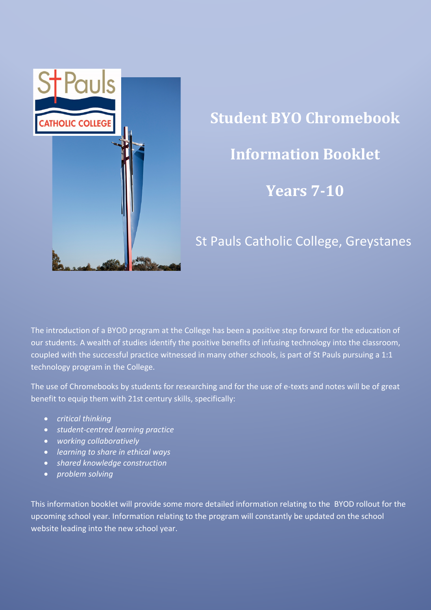

# **Student BYO Chromebook Information Booklet Years 7-10**

# St Pauls Catholic College, Greystanes

The introduction of a BYOD program at the College has been a positive step forward for the education of our students. A wealth of studies identify the positive benefits of infusing technology into the classroom, coupled with the successful practice witnessed in many other schools, is part of St Pauls pursuing a 1:1 technology program in the College.

The use of Chromebooks by students for researching and for the use of e-texts and notes will be of great benefit to equip them with 21st century skills, specifically:

- *critical thinking*
- *student-centred learning practice*
- *working collaboratively*
- *learning to share in ethical ways*
- *shared knowledge construction*
- *problem solving*

This information booklet will provide some more detailed information relating to the BYOD rollout for the upcoming school year. Information relating to the program will constantly be updated on the school website leading into the new school year.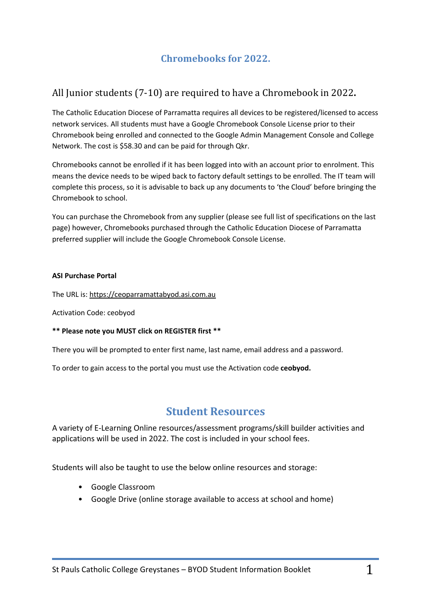# **Chromebooks for 2022.**

## All Junior students (7-10) are required to have a Chromebook in 2022.

The Catholic Education Diocese of Parramatta requires all devices to be registered/licensed to access network services. All students must have a Google Chromebook Console License prior to their Chromebook being enrolled and connected to the Google Admin Management Console and College Network. The cost is \$58.30 and can be paid for through Qkr.

Chromebooks cannot be enrolled if it has been logged into with an account prior to enrolment. This means the device needs to be wiped back to factory default settings to be enrolled. The IT team will complete this process, so it is advisable to back up any documents to 'the Cloud' before bringing the Chromebook to school.

You can purchase the Chromebook from any supplier (please see full list of specifications on the last page) however, Chromebooks purchased through the Catholic Education Diocese of Parramatta preferred supplier will include the Google Chromebook Console License.

#### **ASI Purchase Portal**

The URL is: https://ceoparramattabyod.asi.com.au

Activation Code: ceobyod

#### **\*\* Please note you MUST click on REGISTER first \*\***

There you will be prompted to enter first name, last name, email address and a password.

To order to gain access to the portal you must use the Activation code **ceobyod.**

### **Student Resources**

A variety of E-Learning Online resources/assessment programs/skill builder activities and applications will be used in 2022. The cost is included in your school fees.

Students will also be taught to use the below online resources and storage:

- Google Classroom
- Google Drive (online storage available to access at school and home)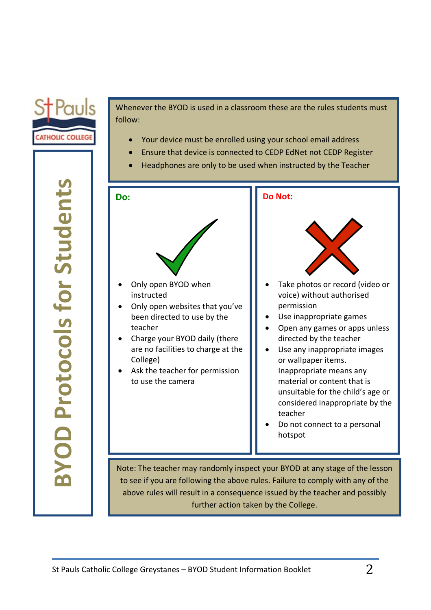

Whenever the BYOD is used in a classroom these are the rules students must follow:

- Your device must be enrolled using your school email address
- Ensure that device is connected to CEDP EdNet not CEDP Register
- Headphones are only to be used when instructed by the Teacher